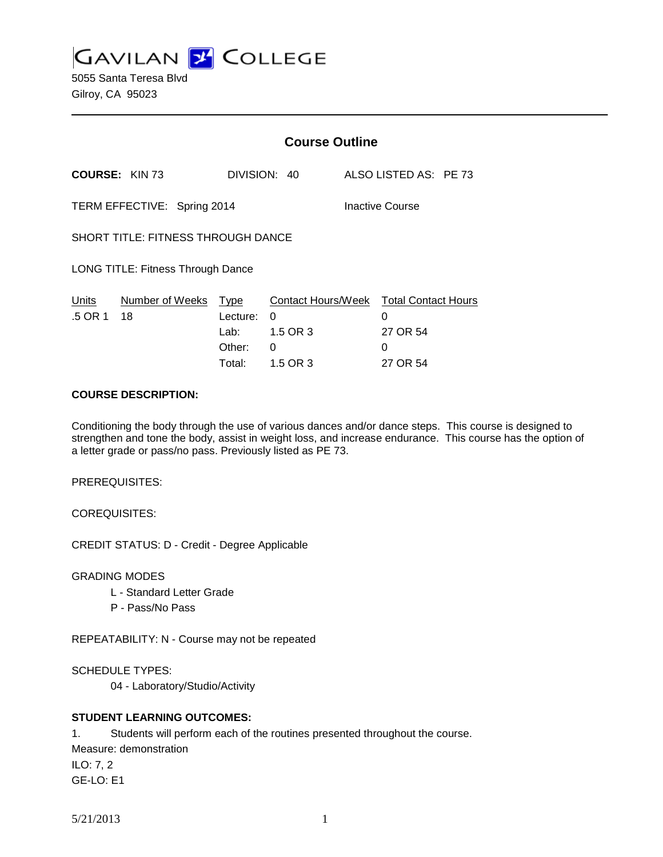**GAVILAN J COLLEGE** 

5055 Santa Teresa Blvd Gilroy, CA 95023

|                                           |                             | <b>Course Outline</b> |                    |                 |                            |  |
|-------------------------------------------|-----------------------------|-----------------------|--------------------|-----------------|----------------------------|--|
|                                           | <b>COURSE: KIN 73</b>       |                       | DIVISION: 40       |                 | ALSO LISTED AS: PE 73      |  |
|                                           | TERM EFFECTIVE: Spring 2014 |                       |                    | Inactive Course |                            |  |
| <b>SHORT TITLE: FITNESS THROUGH DANCE</b> |                             |                       |                    |                 |                            |  |
| <b>LONG TITLE: Fitness Through Dance</b>  |                             |                       |                    |                 |                            |  |
| Units                                     | Number of Weeks             | Type                  | Contact Hours/Week |                 | <b>Total Contact Hours</b> |  |
| .5 OR 1                                   | 18                          | Lecture:              | 0                  |                 | 0                          |  |
|                                           |                             | Lab: La               | 1.5 OR 3           |                 | 27 OR 54                   |  |
|                                           |                             | Other:                | 0                  |                 | 0                          |  |
|                                           |                             | Total:                | 1.5 OR 3           |                 | 27 OR 54                   |  |

### **COURSE DESCRIPTION:**

Conditioning the body through the use of various dances and/or dance steps. This course is designed to strengthen and tone the body, assist in weight loss, and increase endurance. This course has the option of a letter grade or pass/no pass. Previously listed as PE 73.

PREREQUISITES:

COREQUISITES:

CREDIT STATUS: D - Credit - Degree Applicable

GRADING MODES

- L Standard Letter Grade
- P Pass/No Pass

REPEATABILITY: N - Course may not be repeated

SCHEDULE TYPES:

04 - Laboratory/Studio/Activity

## **STUDENT LEARNING OUTCOMES:**

1. Students will perform each of the routines presented throughout the course. Measure: demonstration

ILO: 7, 2 GE-LO: E1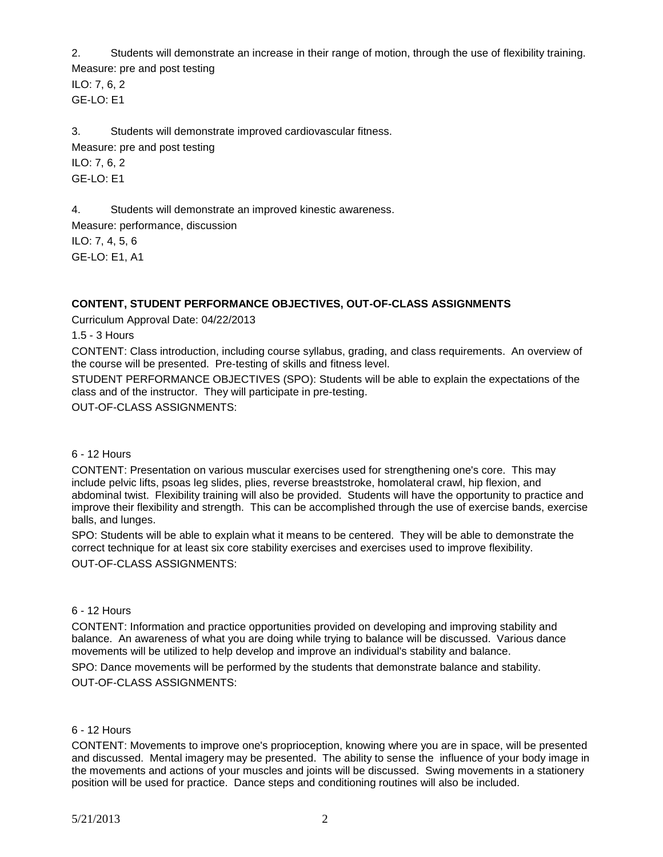2. Students will demonstrate an increase in their range of motion, through the use of flexibility training. Measure: pre and post testing

ILO: 7, 6, 2 GE-LO: E1

3. Students will demonstrate improved cardiovascular fitness. Measure: pre and post testing ILO: 7, 6, 2 GE-LO: E1

4. Students will demonstrate an improved kinestic awareness.

Measure: performance, discussion ILO: 7, 4, 5, 6 GE-LO: E1, A1

# **CONTENT, STUDENT PERFORMANCE OBJECTIVES, OUT-OF-CLASS ASSIGNMENTS**

Curriculum Approval Date: 04/22/2013

1.5 - 3 Hours

CONTENT: Class introduction, including course syllabus, grading, and class requirements. An overview of the course will be presented. Pre-testing of skills and fitness level.

STUDENT PERFORMANCE OBJECTIVES (SPO): Students will be able to explain the expectations of the class and of the instructor. They will participate in pre-testing.

OUT-OF-CLASS ASSIGNMENTS:

### 6 - 12 Hours

CONTENT: Presentation on various muscular exercises used for strengthening one's core. This may include pelvic lifts, psoas leg slides, plies, reverse breaststroke, homolateral crawl, hip flexion, and abdominal twist. Flexibility training will also be provided. Students will have the opportunity to practice and improve their flexibility and strength. This can be accomplished through the use of exercise bands, exercise balls, and lunges.

SPO: Students will be able to explain what it means to be centered. They will be able to demonstrate the correct technique for at least six core stability exercises and exercises used to improve flexibility. OUT-OF-CLASS ASSIGNMENTS:

### 6 - 12 Hours

CONTENT: Information and practice opportunities provided on developing and improving stability and balance. An awareness of what you are doing while trying to balance will be discussed. Various dance movements will be utilized to help develop and improve an individual's stability and balance.

SPO: Dance movements will be performed by the students that demonstrate balance and stability. OUT-OF-CLASS ASSIGNMENTS:

## 6 - 12 Hours

CONTENT: Movements to improve one's proprioception, knowing where you are in space, will be presented and discussed. Mental imagery may be presented. The ability to sense the influence of your body image in the movements and actions of your muscles and joints will be discussed. Swing movements in a stationery position will be used for practice. Dance steps and conditioning routines will also be included.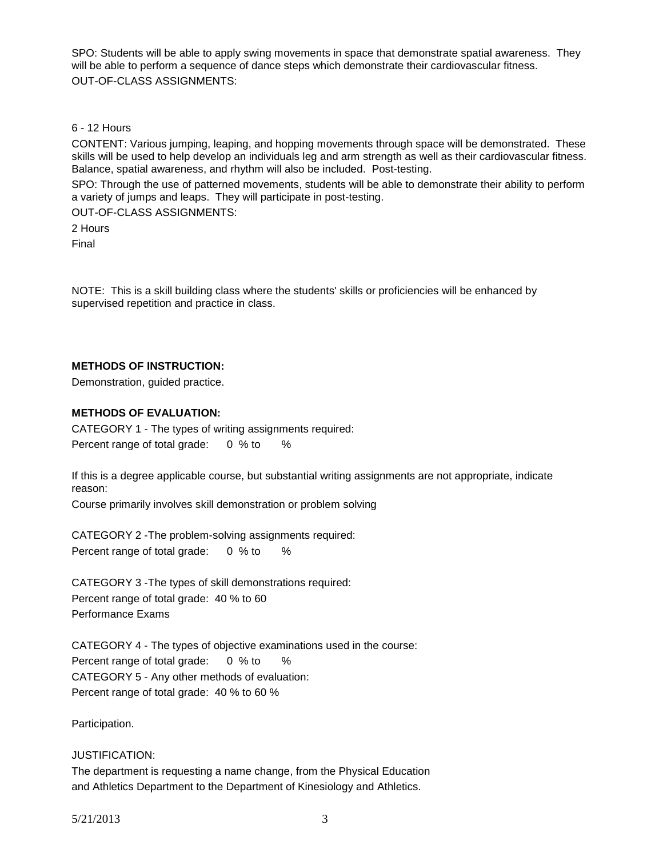SPO: Students will be able to apply swing movements in space that demonstrate spatial awareness. They will be able to perform a sequence of dance steps which demonstrate their cardiovascular fitness. OUT-OF-CLASS ASSIGNMENTS:

### 6 - 12 Hours

CONTENT: Various jumping, leaping, and hopping movements through space will be demonstrated. These skills will be used to help develop an individuals leg and arm strength as well as their cardiovascular fitness. Balance, spatial awareness, and rhythm will also be included. Post-testing.

SPO: Through the use of patterned movements, students will be able to demonstrate their ability to perform a variety of jumps and leaps. They will participate in post-testing.

OUT-OF-CLASS ASSIGNMENTS: 2 Hours

Final

NOTE: This is a skill building class where the students' skills or proficiencies will be enhanced by supervised repetition and practice in class.

## **METHODS OF INSTRUCTION:**

Demonstration, guided practice.

## **METHODS OF EVALUATION:**

CATEGORY 1 - The types of writing assignments required: Percent range of total grade: 0 % to %

If this is a degree applicable course, but substantial writing assignments are not appropriate, indicate reason:

Course primarily involves skill demonstration or problem solving

CATEGORY 2 -The problem-solving assignments required: Percent range of total grade: 0 % to %

CATEGORY 3 -The types of skill demonstrations required: Percent range of total grade: 40 % to 60 Performance Exams

CATEGORY 4 - The types of objective examinations used in the course: Percent range of total grade: 0 % to % CATEGORY 5 - Any other methods of evaluation: Percent range of total grade: 40 % to 60 %

Participation.

## JUSTIFICATION:

The department is requesting a name change, from the Physical Education and Athletics Department to the Department of Kinesiology and Athletics.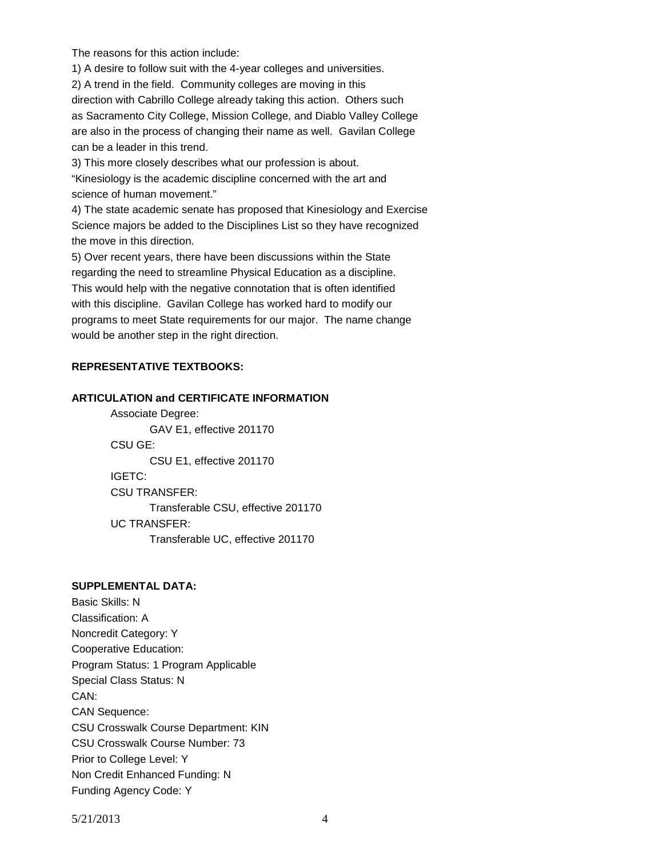The reasons for this action include:

1) A desire to follow suit with the 4-year colleges and universities. 2) A trend in the field. Community colleges are moving in this direction with Cabrillo College already taking this action. Others such as Sacramento City College, Mission College, and Diablo Valley College are also in the process of changing their name as well. Gavilan College can be a leader in this trend.

3) This more closely describes what our profession is about.

"Kinesiology is the academic discipline concerned with the art and science of human movement."

4) The state academic senate has proposed that Kinesiology and Exercise Science majors be added to the Disciplines List so they have recognized the move in this direction.

5) Over recent years, there have been discussions within the State regarding the need to streamline Physical Education as a discipline. This would help with the negative connotation that is often identified with this discipline. Gavilan College has worked hard to modify our programs to meet State requirements for our major. The name change would be another step in the right direction.

### **REPRESENTATIVE TEXTBOOKS:**

### **ARTICULATION and CERTIFICATE INFORMATION**

Associate Degree: GAV E1, effective 201170 CSU GE: CSU E1, effective 201170 IGETC: CSU TRANSFER: Transferable CSU, effective 201170 UC TRANSFER: Transferable UC, effective 201170

#### **SUPPLEMENTAL DATA:**

Basic Skills: N Classification: A Noncredit Category: Y Cooperative Education: Program Status: 1 Program Applicable Special Class Status: N CAN: CAN Sequence: CSU Crosswalk Course Department: KIN CSU Crosswalk Course Number: 73 Prior to College Level: Y Non Credit Enhanced Funding: N Funding Agency Code: Y

5/21/2013 4